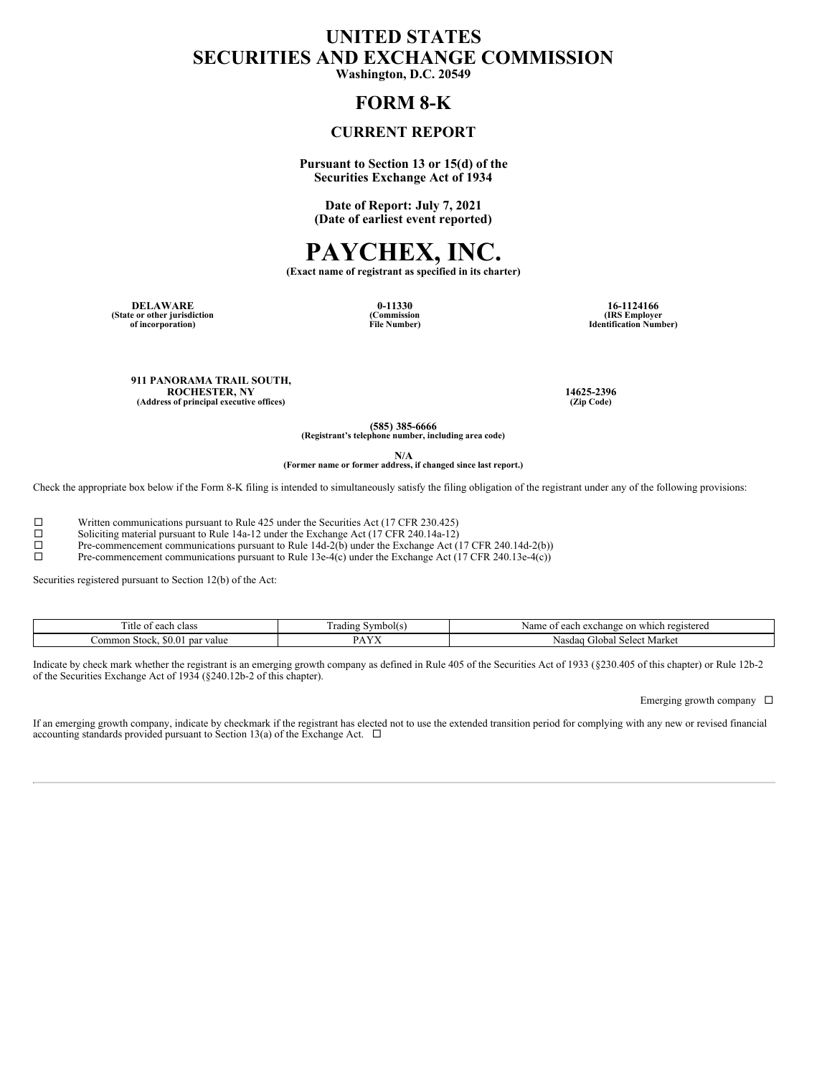# **UNITED STATES SECURITIES AND EXCHANGE COMMISSION**

**Washington, D.C. 20549**

## **FORM 8-K**

### **CURRENT REPORT**

**Pursuant to Section 13 or 15(d) of the Securities Exchange Act of 1934**

**Date of Report: July 7, 2021 (Date of earliest event reported)**



**(Exact name of registrant as specified in its charter)**

**DELAWARE 0-11330 16-1124166 (State or other jurisdiction of incorporation)**

**(Commission File Number)**

**(IRS Employer Identification Number)**

**911 PANORAMA TRAIL SOUTH, ROCHESTER, NY** 14625-2396<br>so of principal executive offices) (Zip Code) (Zip Code) **(Address of principal executive offices)** 

**(585) 385-6666**

**(Registrant's telephone number, including area code)**

**N/A**

**(Former name or former address, if changed since last report.)**

Check the appropriate box below if the Form 8-K filing is intended to simultaneously satisfy the filing obligation of the registrant under any of the following provisions:

□ Written communications pursuant to Rule 425 under the Securities Act (17 CFR 230.425)<br>Soliciting material pursuant to Rule 14a-12 under the Exchange Act (17 CFR 240.14a-12)

□ Soliciting material pursuant to Rule 14a-12 under the Exchange Act (17 CFR 240.14a-12) <br>
Pre-commencement communications pursuant to Rule 14d-2(b) under the Exchange Act (1

□ Pre-commencement communications pursuant to Rule  $14d-2(b)$  under the Exchange Act (17 CFR 240.14d-2(b))  $□$  Pre-commencement communications pursuant to Rule 13e-4(c) under the Exchange Act (17 CFR 240.13e-4(c))

Pre-commencement communications pursuant to Rule 13e-4(c) under the Exchange Act (17 CFR 240.13e-4(c))

Securities registered pursuant to Section 12(b) of the Act:

| . itle<br>each class<br>$\Omega$           | Symbol(s<br>radıng | which registered<br>∙on<br>Nam<br>each exchange<br>ΩŤ |
|--------------------------------------------|--------------------|-------------------------------------------------------|
| $-$ \$0.0.<br>. par value<br>Jommon Stock. | $\mathbf{V}$<br>.  | Market<br>- Nasdau<br>Gilobal<br>Select               |

Indicate by check mark whether the registrant is an emerging growth company as defined in Rule 405 of the Securities Act of 1933 (§230.405 of this chapter) or Rule 12b-2 of the Securities Exchange Act of 1934 (§240.12b-2 of this chapter).

Emerging growth company  $\square$ 

If an emerging growth company, indicate by checkmark if the registrant has elected not to use the extended transition period for complying with any new or revised financial accounting standards provided pursuant to Section 13(a) of the Exchange Act.  $\Box$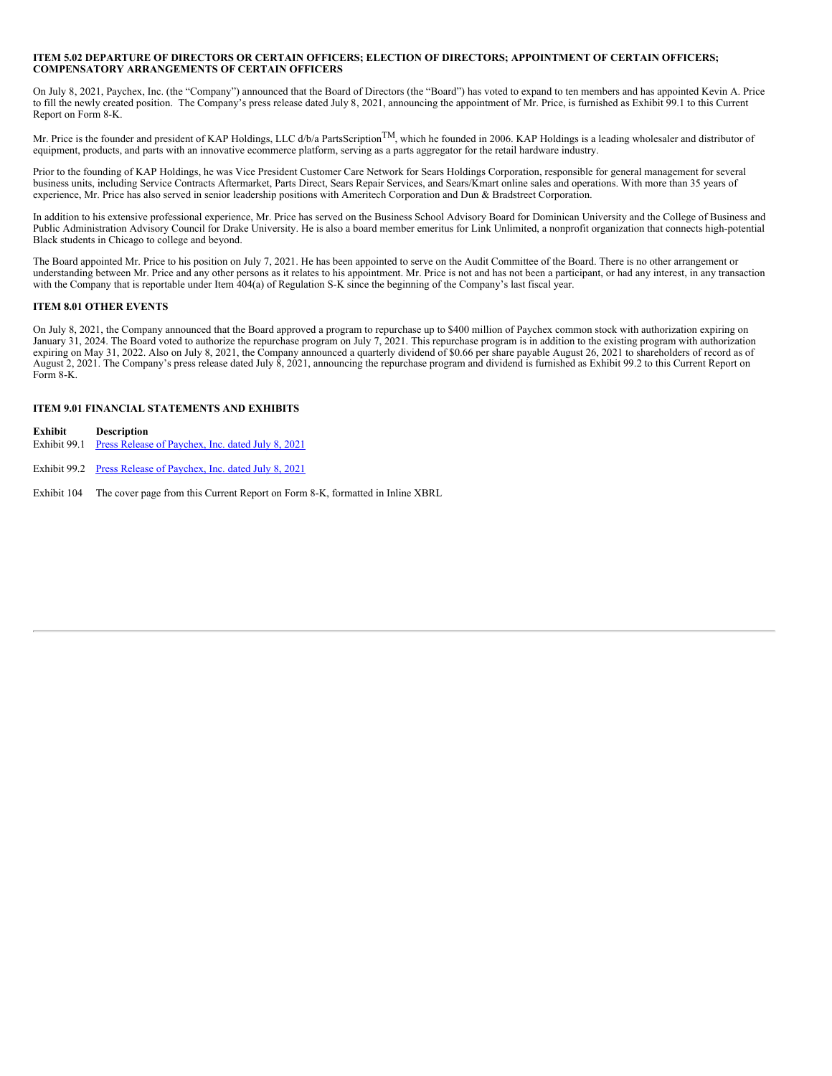#### **ITEM 5.02 DEPARTURE OF DIRECTORS OR CERTAIN OFFICERS; ELECTION OF DIRECTORS; APPOINTMENT OF CERTAIN OFFICERS; COMPENSATORY ARRANGEMENTS OF CERTAIN OFFICERS**

On July 8, 2021, Paychex, Inc. (the "Company") announced that the Board of Directors (the "Board") has voted to expand to ten members and has appointed Kevin A. Price to fill the newly created position. The Company's press release dated July 8, 2021, announcing the appointment of Mr. Price, is furnished as Exhibit 99.1 to this Current Report on Form 8-K.

Mr. Price is the founder and president of KAP Holdings, LLC  $d/b/a$  PartsScription<sup>TM</sup>, which he founded in 2006. KAP Holdings is a leading wholesaler and distributor of equipment, products, and parts with an innovative ecommerce platform, serving as a parts aggregator for the retail hardware industry.

Prior to the founding of KAP Holdings, he was Vice President Customer Care Network for Sears Holdings Corporation, responsible for general management for several business units, including Service Contracts Aftermarket, Parts Direct, Sears Repair Services, and Sears/Kmart online sales and operations. With more than 35 years of experience, Mr. Price has also served in senior leadership positions with Ameritech Corporation and Dun & Bradstreet Corporation.

In addition to his extensive professional experience, Mr. Price has served on the Business School Advisory Board for Dominican University and the College of Business and Public Administration Advisory Council for Drake University. He is also a board member emeritus for Link Unlimited, a nonprofit organization that connects high-potential Black students in Chicago to college and beyond.

The Board appointed Mr. Price to his position on July 7, 2021. He has been appointed to serve on the Audit Committee of the Board. There is no other arrangement or understanding between Mr. Price and any other persons as it relates to his appointment. Mr. Price is not and has not been a participant, or had any interest, in any transaction with the Company that is reportable under Item 404(a) of Regulation S-K since the beginning of the Company's last fiscal year.

### **ITEM 8.01 OTHER EVENTS**

On July 8, 2021, the Company announced that the Board approved a program to repurchase up to \$400 million of Paychex common stock with authorization expiring on January 31, 2024. The Board voted to authorize the repurchase program on July 7, 2021. This repurchase program is in addition to the existing program with authorization expiring on May 31, 2022. Also on July 8, 2021, the Company announced a quarterly dividend of \$0.66 per share payable August 26, 2021 to shareholders of record as of August 2, 2021. The Company's press release dated July 8, 2021, announcing the repurchase program and dividend is furnished as Exhibit 99.2 to this Current Report on Form 8-K.

#### **ITEM 9.01 FINANCIAL STATEMENTS AND EXHIBITS**

- **Exhibit Description** Exhibit 99.1 Press Release of [Paychex,](#page-3-0) Inc. dated July 8, 2021
- Exhibit 99.2 Press Release of [Paychex,](#page-5-0) Inc. dated July 8, 2021
- Exhibit 104 The cover page from this Current Report on Form 8-K, formatted in Inline XBRL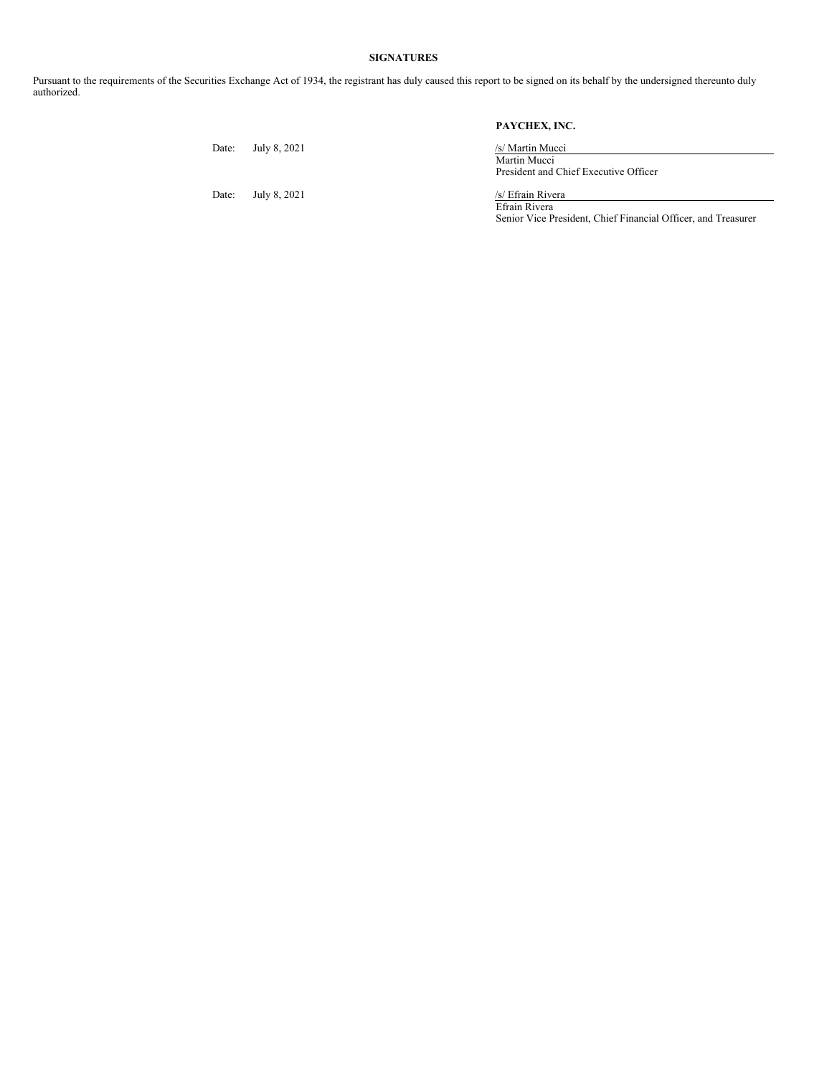### **SIGNATURES**

Pursuant to the requirements of the Securities Exchange Act of 1934, the registrant has duly caused this report to be signed on its behalf by the undersigned thereunto duly authorized.

### **PAYCHEX, INC.**

| Date: | July 8, 2021 | /s/ Martin Mucci                                              |
|-------|--------------|---------------------------------------------------------------|
|       |              | Martin Mucci                                                  |
|       |              | President and Chief Executive Officer                         |
| Date: | July 8, 2021 | /s/ Efrain Rivera                                             |
|       |              | Efrain Rivera                                                 |
|       |              | Senior Vice President, Chief Financial Officer, and Treasurer |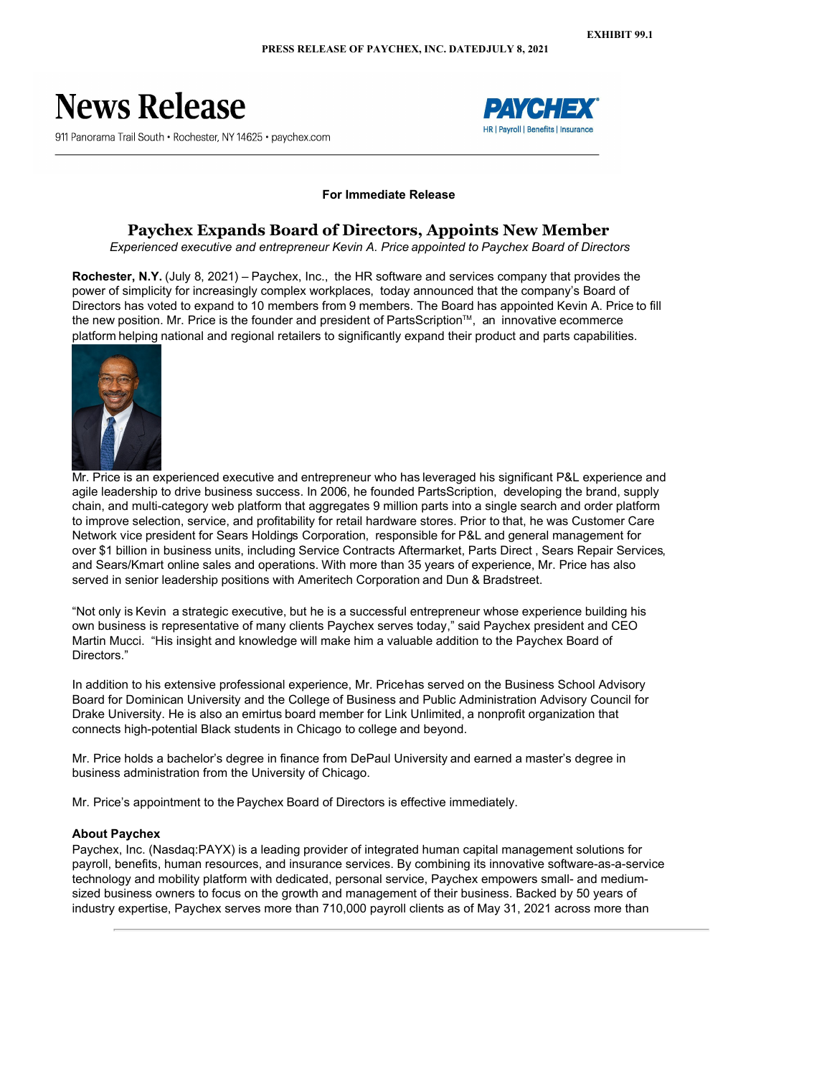<span id="page-3-0"></span>

911 Panorama Trail South · Rochester, NY 14625 · paychex.com



### **For Immediate Release**

## **Paychex Expands Board of Directors, Appoints New Member**

*Experienced executive and entrepreneur Kevin A. Price appointed to Paychex Board of Directors*

**Rochester, N.Y.** (July 8, 2021) – Paychex, Inc., the HR software and services company that provides the power of simplicity for increasingly complex workplaces, today announced that the company's Board of Directors has voted to expand to 10 members from 9 members. The Board has appointed Kevin A. Price to fill the new position. Mr. Price is the founder and president of PartsScription™, an innovative ecommerce platform helping national and regional retailers to significantly expand their product and parts capabilities.



Mr. Price is an experienced executive and entrepreneur who has leveraged his significant P&L experience and agile leadership to drive business success. In 2006, he founded PartsScription, developing the brand, supply chain, and multi-category web platform that aggregates 9 million parts into a single search and order platform to improve selection, service, and profitability for retail hardware stores. Prior to that, he was Customer Care Network vice president for Sears Holdings Corporation, responsible for P&L and general management for over \$1 billion in business units, including Service Contracts Aftermarket, Parts Direct , Sears Repair Services, and Sears/Kmart online sales and operations. With more than 35 years of experience, Mr. Price has also served in senior leadership positions with Ameritech Corporation and Dun & Bradstreet.

"Not only is Kevin a strategic executive, but he is a successful entrepreneur whose experience building his own business is representative of many clients Paychex serves today," said Paychex president and CEO Martin Mucci. "His insight and knowledge will make him a valuable addition to the Paychex Board of Directors."

In addition to his extensive professional experience, Mr. Pricehas served on the Business School Advisory Board for Dominican University and the College of Business and Public Administration Advisory Council for Drake University. He is also an emirtus board member for Link Unlimited, a nonprofit organization that connects high-potential Black students in Chicago to college and beyond.

Mr. Price holds a bachelor's degree in finance from DePaul University and earned a master's degree in business administration from the University of Chicago.

Mr. Price's appointment to the Paychex Board of Directors is effective immediately.

### **About Paychex**

Paychex, Inc. (Nasdaq:PAYX) is a leading provider of integrated human capital management solutions for payroll, benefits, human resources, and insurance services. By combining its innovative software-as-a-service technology and mobility platform with dedicated, personal service, Paychex empowers small- and mediumsized business owners to focus on the growth and management of their business. Backed by 50 years of industry expertise, Paychex serves more than 710,000 payroll clients as of May 31, 2021 across more than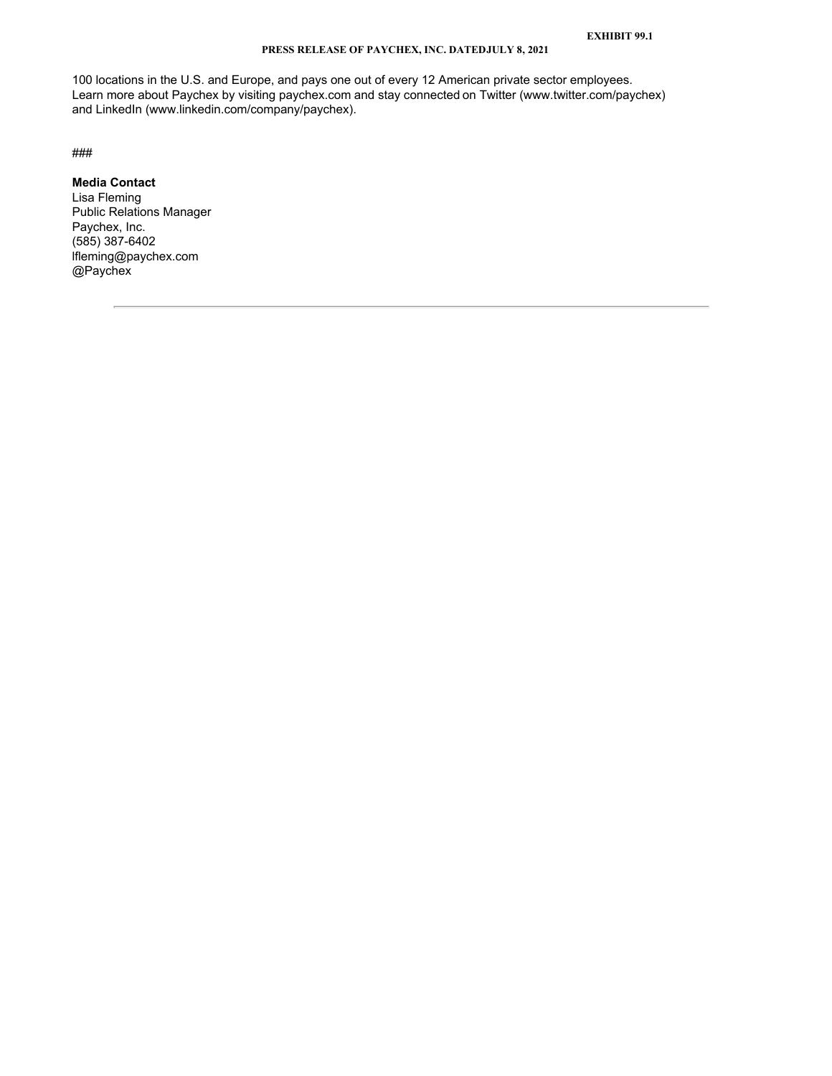### **PRESS RELEASE OF PAYCHEX, INC. DATEDJULY 8, 2021**

100 locations in the U.S. and Europe, and pays one out of every 12 American private sector employees. Learn more about Paychex by visiting paychex.com and stay connected on Twitter (www.twitter.com/paychex) and LinkedIn (www.linkedin.com/company/paychex).

###

### **Media Contact**

Lisa Fleming Public Relations Manager Paychex, Inc. (585) 387-6402 lfleming@paychex.com @Paychex